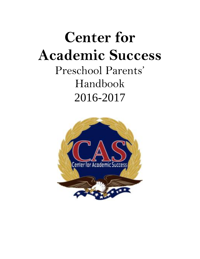# **Center for Academic Success** Preschool Parents' Handbook 2016-2017

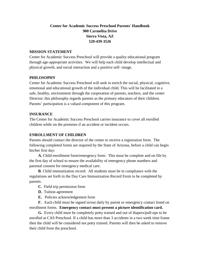# **Center for Academic Success Preschool Parents' Handbook 900 Carmelita Drive Sierra Vista, AZ 520-439-3526**

#### **MISSION STATEMENT**

Center for Academic Success Preschool will provide a quality educational program through age-appropriate activities. We will help each child develop intellectual and physical growth, and social interaction and a positive self- image.

#### **PHILOSOPHY**

Center for Academic Success Preschool will seek to enrich the social, physical, cognitive, emotional and educational growth of the individual child. This will be facilitated in a safe, healthy, environment through the cooperation of parents, teachers, and the center Director; this philosophy regards parents as the primary educators of their children. Parents' participation is a valued component of this program.

#### **INSURANCE**

The Center for Academic Success Preschool carries insurance to cover all enrolled children while on the premises if an accident or incident occurs.

#### **ENROLLMENT OF CHILDREN**

Parents should contact the director of the center to receive a registration form. The following completed forms are required by the State of Arizona, before a child can begin his/her first day:

 **A.** Child enrollment form/emergency form: This must be complete and on file by the first day of school to ensure the availability of emergency phone numbers and parental consent for emergency medical care.

 **B**. Child immunization record: All students must be in compliance with the regulations set forth in the Day Care Immunization Record Form to be completed by parents.

- **C.** Field trip permission form
- **D.** Tuition agreement
- **E.** Policies acknowledgement form

 **F.** Each child must be signed in/out daily by parent or emergency contact listed on enrollment forms. **Emergency contact must present a picture identification card.** 

 **G.** Every child must be completely potty trained and out of diapers/pull-ups to be enrolled at CAS Preschool. If a child has more than 3 accidents in a two week time frame then the child will be considered not potty trained. Parents will then be asked to remove their child from the preschool.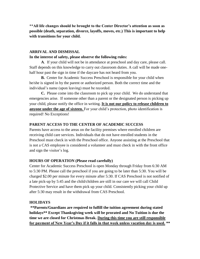**\*\*All life changes should be brought to the Center Director's attention as soon as possible (death, separation, divorce, layoffs, moves, etc.) This is important to help with transitions for your child.** 

#### **ARRIVAL AND DISMISSAL**

#### **In the interest of safety, please observe the following rules:**

 **A**. If your child will not be in attendance at preschool and day care, please call. Staff depends on this knowledge to carry out classroom duties. A call will be made onehalf hour past the sign in time if the daycare has not heard from you.

**B.** Center for Academic Success Preschool is responsible for your child when he/she is signed in by the parent or authorized person. Both the correct time and the individual's name (upon leaving) must be recorded.

**C.** Please come into the classroom to pick up your child. We do understand that emergencies arise. If someone other than a parent or the designated person is picking up your child, please notify the office in writing. **It is not our policy to release children to anyone under the age of sixteen.** For your child's protection, photo identification is required! No Exceptions!

#### **PARENT ACCESS TO THE CENTER OF ACADEMIC SUCCESS**

Parents have access to the areas on the facility premises where enrolled children are receiving child care services. Individuals that do not have enrolled students in the Preschool must check in with the Preschool office. Anyone assisting at the Preschool that is not a CAS employee is considered a volunteer and must check in with the front office and sign the visitor's log.

#### **HOURS OF OPERATION (Please read carefully)**

Center for Academic Success Preschool is open Monday through Friday from 6:30 AM to 5:30 PM. Please call the preschool if you are going to be later than 5:30. You will be charged \$2.00 per minute for every minute after 5:30. If CAS Preschool is not notified of a late pick-up by 5:45 and the child/children are still in our care we will call Child Protective Service and have them pick up your child. Consistently picking your child up after 5:30 may result in the withdrawal from CAS Preschool.

#### **HOLIDAYS**

**\*\*Parents/Guardians are required to fulfill the tuition agreement during stated holidays\*\* Except Thanksgiving week will be prorated and No Tuition is due the time we are closed for Christmas Break. During this time you are still responsible for payment of New Year's Day if it falls in that week unless vacation day is used. \*\***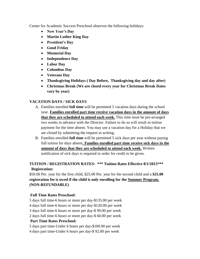Center for Academic Success Preschool observes the following holidays:

- **New Year's Day**
- **Martin Luther King Day**
- **President's Day**
- **Good Friday**
- **Memorial Day**
- **Independence Day**
- **Labor Day**
- **Columbus Day**
- **Veterans Day**
- **Thanksgiving Holidays ( Day Before, Thanksgiving day and day after)**
- **Christmas Break (We are closed every year for Christmas Break Dates vary by year)**

# **VACATION DAYS / SICK DAYS**

- A. Families enrolled **full time** will be permitted 5 vacation days during the school year. **Families enrolled part time receive vacation days in the amount of days that they are scheduled to attend each week.** This time must be pre-arranged two weeks in advance with the Director. Failure to do so will result in tuition payment for the time absent. You may use a vacation day for a Holiday that we are closed by submitting the request in writing.
- B. Families enrolled **full time** will be permitted 5 sick days per year without paying full tuition for days absent. **Families enrolled part time receive sick days in the amount of days that they are scheduled to attend each week.** Written notification of sick days is required in order for credit to be given.

# **TUITION / REGISTRATION RATES: \*\*\* Tuition Rates Effective 8/1/2015\*\*\* Registration:**

\$50.00 Per. year for the first child, \$25.00 Per. year for the second child and a **\$25.00 registration fee is owed if the child is only enrolling for the Summer Program. (NON-REFUNDABLE)**

# **Full Time Rates Preschool:**

5 days full time-6 hours or more per day-\$135.00 per week

4 days full time-6 hours or more per day-\$120.00 per week

3 days full time-6 hours or more per day-\$ 90.00 per week

2 days full time-6 hours or more per day-\$ 60.00 per week

# **Part Time Rates Preschool:**

5 days part time-Under 6 hours per day-\$100.00 per week 4 days part time-Under 6 hours per day-\$ 92.00 per week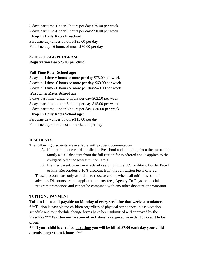3 days part time-Under 6 hours per day-\$75.00 per week 2 days part time-Under 6 hours per day-\$50.00 per week **Drop In Daily Rates Preschool:** Part time day-under 6 hours-\$25.00 per day

Full time day –6 hours of more-\$30.00 per day

# **SCHOOL AGE PROGRAM: Registration Fee \$25.00 per child.**

#### **Full Time Rates School age:**

5 days full time-6 hours or more per day-\$75.00 per week

3 days full time- 6 hours or more per day-\$60.00 per week

2 days full time- 6 hours or more per day-\$40.00 per week

# **Part Time Rates School age:**

5 days part time- under 6 hours per day-\$62.50 per week

3 days part time- under 6 hours per day-\$45.00 per week

2 days part time- under 6 hours per day- \$30.00 per week

# **Drop In Daily Rates School age:**

Part time day-under 6 hours-\$15.00 per day

Full time day -6 hours or more-\$20.00 per day

# **DISCOUNTS:**

The following discounts are available with proper documentation.

- A. If more than one child enrolled in Preschool and attending from the immediate family a 10% discount from the full tuition fee is offered and is applied to the child(ren) with the lowest tuition rate(s).
- B. If either parent/guardian is actively serving in the U.S. Military, Border Patrol or First Responders a 10% discount from the full tuition fee is offered.

These discounts are only available to those accounts when full tuition is paid in advance. Discounts are not applicable on any fees, Agency Co-Pays, or special program promotions and cannot be combined with any other discount or promotion.

# **TUITION / PAYMENT**

**Tuition is due and payable on Monday of every week for that weeks attendance.** \*\*\*Tuition is payable for children regardless of physical attendance unless vacation schedule and /or schedule change forms have been submitted and approved by the Preschool\*\*\* **Written notification of sick days is required in order for credit to be given.** 

\*\*\***If your child is enrolled part time you will be billed \$7.00 each day your child attends longer than 6 hours.\*\*\***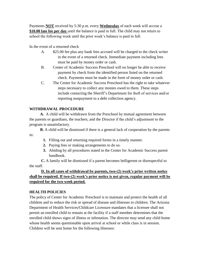Payments **NOT** received by 5:30 p.m. every **Wednesday** of each week will accrue a **\$10.00 late fee per day** until the balance is paid in full. The child may not return to school the following week until the prior week's balance is paid in full.

In the event of a returned check

- A. \$25.00 fee plus any bank fees accrued will be charged to the check writer in the event of a returned check. Immediate payment including fees must be paid by money order or cash.
- B. Center of Academic Success Preschool will no longer be able to receive payment by check from the identified person listed on the returned check. Payments must be made in the form of money order or cash.
- C. The Center for Academic Success Preschool has the right to take whatever steps necessary to collect any monies owed to them. These steps include contacting the Sheriff's Department for theft of services and/or reporting nonpayment to a debt collection agency.

# **WITHDRAWAL PROCEDURE**

 **A.** A child will be withdrawn from the Preschool by mutual agreement between the parents or guardians, the teachers, and the Director if the child's adjustment to the program is unsatisfactory.

**B.** A child will be dismissed if there is a general lack of cooperation by the parents in:

- **1.** Filling out and returning required forms in a timely manner.
- **2.** Paying fees or making arrangements to do so.
- **3.** Abiding by all procedures stated in the Center for Academic Success parent handbook.

 **C.** A family will be dismissed if a parent becomes belligerent or disrespectful to the staff.

# **D. In all cases of withdrawal by parents, two-(2) week's prior written notice shall be required. If two-(2) week's prior notice is not given, regular payment will be required for the two week period.**

#### **HEALTH POLICIES**

The policy of Center for Academic Preschool is to maintain and protect the health of all children and to reduce the risk or spread of disease and illnesses to children. The Arizona Department of Health Services/Childcare Licensure mandates that a licensee shall not permit an enrolled child to remain at the facility if a staff member determines that the enrolled child shows signs of illness or infestation. The director may send any child home whose health seems questionable upon arrival at school or while class is in session. Children will be sent home for the following illnesses: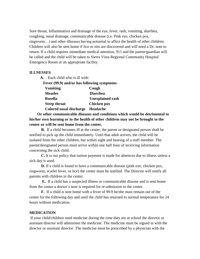Sore throat, Inflammation and drainage of the eye, fever, rash, vomiting, diarrhea, coughing, nasal drainage, communicable disease (i.e. Pink eye, chicken pox, ringworm…) and other illnesses having potential to affect the health of other children. Children will also be sent home if lice or nits are discovered and will need a Dr. note to return. If a child requires immediate medical attention, 911 and the parent/guardian will be called and the child will be taken to Sierra Vista Regional Community Hospital Emergency Room or an appropriate facility.

#### **ILLNESSES**

 **A.** Each child who is ill with:  **Fever (99.9) and/or has following symptoms: Vomiting Cough Measles Diarrhea Rosella Unexplained rash Strep throat** Chicken pox  **Colored nasal discharge Headache**

 **Or other communicable diseases and conditions which would be detrimental to his/her own learning or to the health of other children may not be brought to the center or will be sent home from the center.**

 **B.** If a child becomes ill at the center, the parent or designated person shall be notified to pick up the child immediately. Until that adult arrives, the child will be isolated from the other children, but within sight and hearing of a staff member. The parent/designated person must arrive within one half hour of receiving information concerning the sick child.

 **C.** It is our policy that tuition payment is made for absences due to illness unless a sick day is used.

**D.** If a child is found to have a communicable disease (pink eye, chicken pox, ringworm, scarlet fever, or lice) the center must be notified. The Director will notify all parents with children in the center.

 **E.** If a child has a suspected illness or communicable disease and is sent home from the center a doctor's note is required for re-admission to the center.

**F.** If a child is sent home with a fever of 99.9 he/she must remain out of the center for the following day and until the child has returned to normal temperature for 24 hours without medication.

#### **MEDICATION**

If your child/children need medicine during the time they are at school the director or assistant director will administer the medicine. The medicine must be signed in with the director or assistant director. The medicine must be prescribed by a physician with the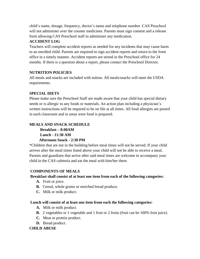child's name, dosage, frequency, doctor's name and telephone number. CAS Preschool will not administer over the counter medicines. Parents must sign consent and a release form allowing CAS Preschool staff to administer any medication.

# **ACCIDENT LOG**

Teachers will complete accident reports as needed for any incidents that may cause harm to an enrolled child. Parents are required to sign accident reports and return to the front office in a timely manner. Accident reports are stored in the Preschool office for 24 months. If there is a question about a report, please contact the Preschool Director.

# **NUTRITION POLICIES**

All meals and snacks are included with tuition. All meals/snacks will meet the USDA requirements.

# **SPECIAL DIETS**

Please make sure the Preschool Staff are made aware that your child has special dietary needs or is allergic to any foods or materials. An action plan including a physician's written instructions will be required to be on file at all times. All food allergies are posted in each classroom and in areas were food is prepared.

# **MEALS AND SNACK SCHEDULE**

 **Breakfast – 8:00AM Lunch - 11:30 AM** 

# **Afternoon Snack - 2:30 PM**

\*Children that are not in the building before meal times will not be served. If your child arrives after the meal times listed above your child will not be able to receive a meal. Parents and guardians that arrive after said meal times are welcome to accompany your child in the CAS cafeteria and eat the meal with him/her there.

# **COMPONENTS OF MEALS**

#### **Breakfast shall consist of at least one item from each of the following categories:**

- **A.** Fruit or juice.
- **B.** Cereal, whole grains or enriched bread produce.
- **C.** Milk or milk product.

#### **Lunch will consist of at least one item from each the following categories:**

- **A.** Milk or milk product.
- **B.** 2 vegetables or 1 vegetable and 1 fruit or 2 fruits (fruit can be 100% fruit juice).
- **C.** Meat or protein product.
- **D.** Bread product.

# **CHILD ABUSE**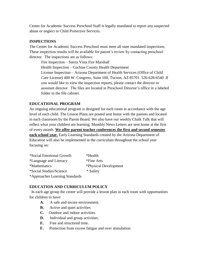Center for Academic Success Preschool Staff is legally mandated to report any suspected abuse or neglect to Child Protective Services.

# **INSPECTIONS**

The Center for Academic Success Preschool must meet all state mandated inspections. These inspection results will be available for parent's review by contacting preschool director. The inspections are as follows:

Fire Inspection – Sierra Vista Fire Marshall Health Inspection – Cochise County Health Department License Inspection – Arizona Department of Health Services (Office of Child Care License) 400 W. Congress, Suite 100, Tucson, AZ 85701. 520-628-6540 .If you would like to view the inspection reports, please contact the director or assistant director. The files are located in Preschool Director's office in a labeled folder in the file cabinet.

# **EDUCATIONAL PROGRAM**

An ongoing educational program is designed for each room in accordance with the age level of each child. The Lesson Plans are posted sent home with the parents and located in each classroom by the Parent Board. We also have our weekly Chalk Talk that will reflect what your children are learning. Monthly News Letters are sent home at the first of every month. **We offer parent teacher conferences the first and second semester each school year.** Early Learning Standards created by the Arizona Department of Education will also be implemented in the curriculum throughout the school year focusing on:

| *Social Emotional Growth       | *Health               |
|--------------------------------|-----------------------|
| *Language and Literacy         | *Fine Arts            |
| *Mathematics                   | *Physical Development |
| *Social Studies/Science        | * Safety              |
| *Approaches Learning Standards |                       |

# **EDUCATION AND CURRICULUM POLICY**

In each age group the center will provide a lesson plan in each room with opportunities for children to have:

- A. A safe and secure environment.
- **B.** Active and quiet activities
- **C.** Outdoor and indoor activities.
- **D.** Individual and group activities.
- **E.** Free and structured time.
- **F.** Protection from excess fatigue and over stimulation.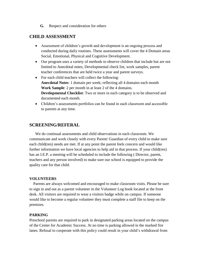**G.** Respect and consideration for others

# **CHILD ASSESSMENT**

- Assessment of children's growth and development is an ongoing process and conducted during daily routines. These assessments will cover the 4 Domain areas Social, Emotional, Physical and Cognitive Development.
- Our program uses a variety of methods to observe children that include but are not limited to Anecdotal notes, Developmental check list, work samples, parent teacher conferences that are held twice a year and parent surveys.
- For each child teachers will collect the following: **Anecdotal Notes**: 1 domain per week; reflecting all 4 domains each month **Work Sample**: 2 per month in at least 2 of the 4 domains. **Developmental Checklist**: Two or more in each category is to be observed and documented each month.
- Children's assessments portfolios can be found in each classroom and accessible to parents at any time.

# **SCREENING/REFERAL**

 We do continual assessments and child observations in each classroom. We communicate and work closely with every Parent/ Guardian of every child to make sure each child(ren) needs are met. If at any point the parent feels concern and would like further information we have local agencies to help aid in that process. If your child(ren) has an I.E.P. a meeting will be scheduled to include the following ( Director, parent, teachers and any person involved) to make sure our school is equipped to provide the quality care for that child.

#### **VOLUNTEERS**

Parents are always welcomed and encouraged to make classroom visits. Please be sure to sign in and out as a parent volunteer in the Volunteer Log book located at the front desk. All visitors are required to wear a visitors badge while on campus. If someone would like to become a regular volunteer they must complete a staff file to keep on the premises.

#### **PARKING**

Preschool parents are required to park in designated parking areas located on the campus of the Center for Academic Success. At no time is parking allowed in the marked fire lanes. Refusal to cooperate with this policy could result in your child's withdrawal from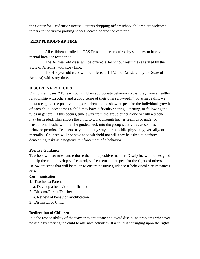the Center for Academic Success. Parents dropping off preschool children are welcome to park in the visitor parking spaces located behind the cafeteria.

# **REST PERIOD/NAP TIME**.

 All children enrolled at CAS Preschool are required by state law to have a mental break or rest period.

 The 3-4 year old class will be offered a 1-1/2 hour rest time (as stated by the State of Arizona) with story time.

 The 4-5 year old class will be offered a 1-1/2 hour (as stated by the State of Arizona) with story time.

# **DISCIPLINE POLICIES**

Discipline means, "To teach our children appropriate behavior so that they have a healthy relationship with others and a good sense of their own self-worth." To achieve this, we must recognize the positive things children do and show respect for the individual growth of each child. Sometimes a child may have difficulty sharing, listening, or following the rules in general. If this occurs, time away from the group either alone or with a teacher, may be needed. This allows the child to work through his/her feelings or anger or frustration. He/she will then be guided back into the group's activities as soon as behavior permits. Teachers may not, in any way, harm a child physically, verbally, or mentally. Children will not have food withheld nor will they be asked to perform demeaning tasks as a negative reinforcement of a behavior.

#### **Positive Guidance**

Teachers will set rules and enforce them in a positive manner. Discipline will be designed to help the child develop self-control, self-esteem and respect for the rights of others. Below are steps that will be taken to ensure positive guidance if behavioral circumstances arise.

#### **Communication**

- **1.** Teacher to Parent
	- a. Develop a behavior modification.
- **2.** Director/Parent/Teacher

a. Review of behavior modification.

**3.** Dismissal of Child

#### **Redirection of Children**

It is the responsibility of the teacher to anticipate and avoid discipline problems whenever possible by steering the child to alternate activities. If a child is infringing upon the rights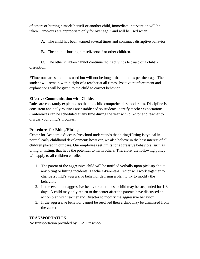of others or hurting himself/herself or another child, immediate intervention will be taken. Time-outs are appropriate only for over age 3 and will be used when:

- **A.** The child has been warned several times and continues disruptive behavior.
- **B.** The child is hurting himself/herself or other children.

**C.** The other children cannot continue their activities because of a child's disruption.

\*Time-outs are sometimes used but will not be longer than minutes per their age. The student will remain within sight of a teacher at all times. Positive reinforcement and explanations will be given to the child to correct behavior.

# **Effective Communication with Children**

Rules are constantly explained so that the child comprehends school rules. Discipline is consistent and daily routines are established so students identify teacher expectations. Conferences can be scheduled at any time during the year with director and teacher to discuss your child's progress.

## **Procedures for Biting/Hitting**

Center for Academic Success Preschool understands that biting/Hitting is typical in normal early childhood development; however, we also believe in the best interest of all children placed in our care. Our employees set limits for aggressive behaviors, such as biting or hitting, that have the potential to harm others. Therefore, the following policy will apply to all children enrolled.

- 1. The parent of the aggressive child will be notified verbally upon pick-up about any biting or hitting incidents. Teachers-Parents-Director will work together to change a child's aggressive behavior devising a plan to try to modify the behavior.
- 2. In the event that aggressive behavior continues a child may be suspended for 1-3 days. A child may only return to the center after the parents have discussed an action plan with teacher and Director to modify the aggressive behavior.
- 3. If the aggressive behavior cannot be resolved then a child may be dismissed from the center.

#### **TRANSPORTATION**

No transportation provided by CAS Preschool.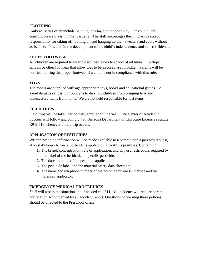# **CLOTHING**

Daily activities often include painting, pasting and outdoor play. For your child's comfort, please dress him/her casually. The staff encourages the children to accept responsibility for taking off, putting on and hanging up their sweaters and coats without assistance. This aids in the development of the child's independence and self-confidence.

## **SHOES/FOOTWEAR**

All children are required to wear closed toed shoes to school at all times. Flip flops, sandals or other footwear that allow toes to be exposed are forbidden. Parents will be notified to bring the proper footwear if a child is not in compliance with this rule.

# **TOYS**

The rooms are supplied with age appropriate toys, books and educational games. To avoid damage or loss, our policy is to disallow children from bringing toys and unnecessary items from home. We are not held responsible for lost items.

# **FIELD TRIPS**

Field trips will be taken periodically throughout the year. The Center of Academic Success will follow and comply with Arizona Department of Childcare Licensure statute R9-5-518 whenever a field trip occurs.

# **APPLICATION OF PESTICIDES**

Written pesticide information will be made available to a parent upon a parent's request, at least 48 hours before a pesticide is applied on a facility's premises. Containing:

- **1.** The brand, concentration, rate of application; and any use restrictions required by the label of the herbicide or specific pesticide;
- **2.** The date and time of the pesticide application;
- **3.** The pesticide label and the material safety data sheet; and
- **4.** The name and telephone number of the pesticide business licensee and the licensed applicator.

# **EMERGENCY MEDICAL PROCEDURES**

Staff will assess the situation and if needed call 911. All incidents will require parent notification accompanied by an accident report. Questions concerning these policies should be directed to the Preschool office.